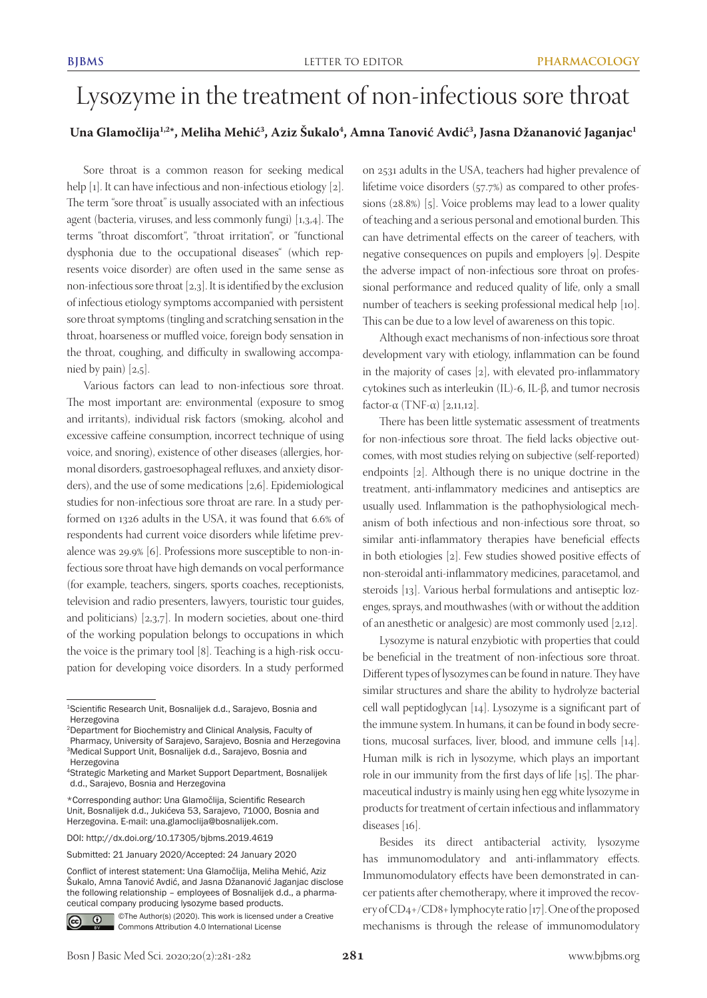# Lysozyme in the treatment of non-infectious sore throat

#### Una Glamočlija<sup>1,2\*</sup>, Meliha Mehić<sup>3</sup>, Aziz Sukalo<sup>4</sup>, Amna Tanović Avdić<sup>3</sup>, Jasna Džananović Jaganjac<sup>1</sup>

Sore throat is a common reason for seeking medical help [1]. It can have infectious and non-infectious etiology [2]. The term "sore throat" is usually associated with an infectious agent (bacteria, viruses, and less commonly fungi) [1,3,4]. The terms "throat discomfort", "throat irritation", or "functional dysphonia due to the occupational diseases" (which represents voice disorder) are often used in the same sense as non-infectious sore throat [2,3]. It is identified by the exclusion of infectious etiology symptoms accompanied with persistent sore throat symptoms (tingling and scratching sensation in the throat, hoarseness or muffled voice, foreign body sensation in the throat, coughing, and difficulty in swallowing accompanied by pain) [2,5].

Various factors can lead to non-infectious sore throat. The most important are: environmental (exposure to smog and irritants), individual risk factors (smoking, alcohol and excessive caffeine consumption, incorrect technique of using voice, and snoring), existence of other diseases (allergies, hormonal disorders, gastroesophageal refluxes, and anxiety disorders), and the use of some medications [2,6]. Epidemiological studies for non-infectious sore throat are rare. In a study performed on 1326 adults in the USA, it was found that 6.6% of respondents had current voice disorders while lifetime prevalence was 29.9% [6]. Professions more susceptible to non-infectious sore throat have high demands on vocal performance (for example, teachers, singers, sports coaches, receptionists, television and radio presenters, lawyers, touristic tour guides, and politicians) [2,3,7]. In modern societies, about one-third of the working population belongs to occupations in which the voice is the primary tool [8]. Teaching is a high-risk occupation for developing voice disorders. In a study performed

Conflict of interest statement: Una Glamočlija, Meliha Mehić, Aziz Šukalo, Amna Tanović Avdić, and Jasna Džananović Jaganjac disclose the following relationship – employees of Bosnalijek d.d., a pharmaceutical company producing lysozyme based products.



©The Author(s) (2020). This work is licensed under a Creative Commons Attribution 4.0 International License

on 2531 adults in the USA, teachers had higher prevalence of lifetime voice disorders (57.7%) as compared to other professions (28.8%) [5]. Voice problems may lead to a lower quality of teaching and a serious personal and emotional burden. This can have detrimental effects on the career of teachers, with negative consequences on pupils and employers [9]. Despite the adverse impact of non-infectious sore throat on professional performance and reduced quality of life, only a small number of teachers is seeking professional medical help [10]. This can be due to a low level of awareness on this topic.

Although exact mechanisms of non-infectious sore throat development vary with etiology, inflammation can be found in the majority of cases [2], with elevated pro-inflammatory cytokines such as interleukin (IL)-6, IL-β, and tumor necrosis factor- $\alpha$  (TNF- $\alpha$ ) [2,11,12].

There has been little systematic assessment of treatments for non-infectious sore throat. The field lacks objective outcomes, with most studies relying on subjective (self-reported) endpoints [2]. Although there is no unique doctrine in the treatment, anti-inflammatory medicines and antiseptics are usually used. Inflammation is the pathophysiological mechanism of both infectious and non-infectious sore throat, so similar anti-inflammatory therapies have beneficial effects in both etiologies [2]. Few studies showed positive effects of non-steroidal anti-inflammatory medicines, paracetamol, and steroids [13]. Various herbal formulations and antiseptic lozenges, sprays, and mouthwashes (with or without the addition of an anesthetic or analgesic) are most commonly used [2,12].

Lysozyme is natural enzybiotic with properties that could be beneficial in the treatment of non-infectious sore throat. Different types of lysozymes can be found in nature. They have similar structures and share the ability to hydrolyze bacterial cell wall peptidoglycan [14]. Lysozyme is a significant part of the immune system. In humans, it can be found in body secretions, mucosal surfaces, liver, blood, and immune cells [14]. Human milk is rich in lysozyme, which plays an important role in our immunity from the first days of life [15]. The pharmaceutical industry is mainly using hen egg white lysozyme in products for treatment of certain infectious and inflammatory diseases [16].

Besides its direct antibacterial activity, lysozyme has immunomodulatory and anti-inflammatory effects. Immunomodulatory effects have been demonstrated in cancer patients after chemotherapy, where it improved the recovery of CD4+/CD8+ lymphocyte ratio [17]. One of the proposed mechanisms is through the release of immunomodulatory

<sup>1</sup>Scientific Research Unit, Bosnalijek d.d., Sarajevo, Bosnia and Herzegovina

<sup>2</sup>Department for Biochemistry and Clinical Analysis, Faculty of Pharmacy, University of Sarajevo, Sarajevo, Bosnia and Herzegovina 3Medical Support Unit, Bosnalijek d.d., Sarajevo, Bosnia and **Herzegovina** 

<sup>4</sup>Strategic Marketing and Market Support Department, Bosnalijek d.d., Sarajevo, Bosnia and Herzegovina

<sup>\*</sup>Corresponding author: Una Glamočlija, Scientific Research Unit, Bosnalijek d.d., Jukićeva 53, Sarajevo, 71000, Bosnia and Herzegovina. E-mail: una.glamoclija@bosnalijek.com.

DOI: http://dx.doi.org/10.17305/bjbms.2019.4619

Submitted: 21 January 2020/Accepted: 24 January 2020